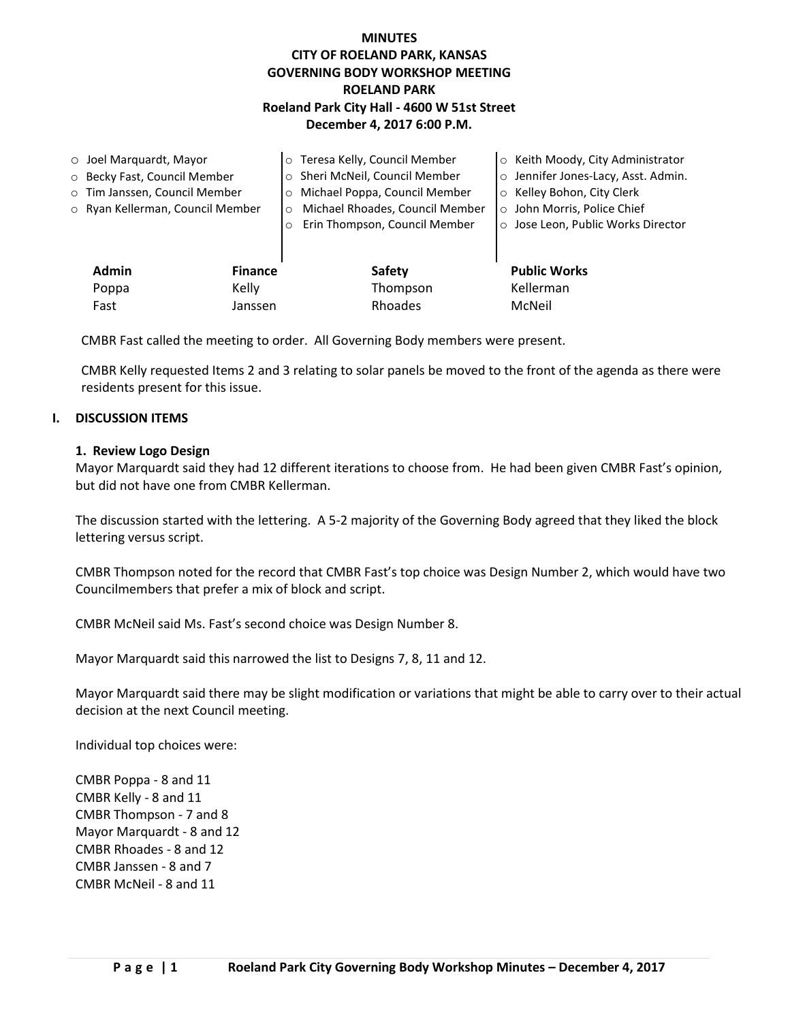## **MINUTES CITY OF ROELAND PARK, KANSAS GOVERNING BODY WORKSHOP MEETING ROELAND PARK Roeland Park City Hall - 4600 W 51st Street December 4, 2017 6:00 P.M.**

| $\circ$ Joel Marquardt, Mayor |                                  |                | o Teresa Kelly, Council Member             | ○ Keith Moody, City Administrator   |
|-------------------------------|----------------------------------|----------------|--------------------------------------------|-------------------------------------|
|                               | O Becky Fast, Council Member     |                | o Sheri McNeil, Council Member             | o Jennifer Jones-Lacy, Asst. Admin. |
|                               | o Tim Janssen, Council Member    |                | o Michael Poppa, Council Member            | ○ Kelley Bohon, City Clerk          |
|                               | o Ryan Kellerman, Council Member |                | Michael Rhoades, Council Member<br>$\circ$ | o John Morris, Police Chief         |
|                               |                                  | $\circ$        | Erin Thompson, Council Member              | ○ Jose Leon, Public Works Director  |
|                               |                                  |                |                                            |                                     |
|                               | <b>Admin</b>                     | <b>Finance</b> | Safety                                     | <b>Public Works</b>                 |
|                               | Kelly<br>Poppa                   |                | Thompson                                   | Kellerman                           |
|                               | Fast                             | Janssen        | Rhoades                                    | McNeil                              |

CMBR Fast called the meeting to order. All Governing Body members were present.

CMBR Kelly requested Items 2 and 3 relating to solar panels be moved to the front of the agenda as there were residents present for this issue.

#### **I. DISCUSSION ITEMS**

#### **1. Review Logo Design**

Mayor Marquardt said they had 12 different iterations to choose from. He had been given CMBR Fast's opinion, but did not have one from CMBR Kellerman.

The discussion started with the lettering. A 5-2 majority of the Governing Body agreed that they liked the block lettering versus script.

CMBR Thompson noted for the record that CMBR Fast's top choice was Design Number 2, which would have two Councilmembers that prefer a mix of block and script.

CMBR McNeil said Ms. Fast's second choice was Design Number 8.

Mayor Marquardt said this narrowed the list to Designs 7, 8, 11 and 12.

Mayor Marquardt said there may be slight modification or variations that might be able to carry over to their actual decision at the next Council meeting.

Individual top choices were:

CMBR Poppa - 8 and 11 CMBR Kelly - 8 and 11 CMBR Thompson - 7 and 8 Mayor Marquardt - 8 and 12 CMBR Rhoades - 8 and 12 CMBR Janssen - 8 and 7 CMBR McNeil - 8 and 11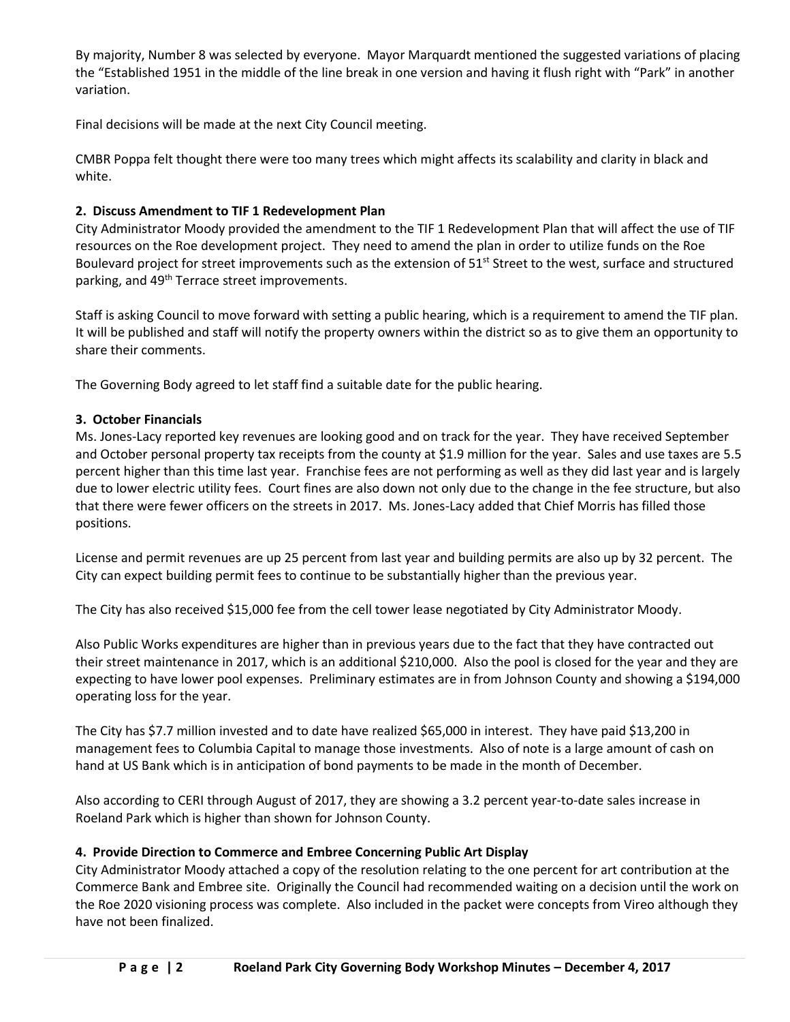By majority, Number 8 was selected by everyone. Mayor Marquardt mentioned the suggested variations of placing the "Established 1951 in the middle of the line break in one version and having it flush right with "Park" in another variation.

Final decisions will be made at the next City Council meeting.

CMBR Poppa felt thought there were too many trees which might affects its scalability and clarity in black and white.

## **2. Discuss Amendment to TIF 1 Redevelopment Plan**

City Administrator Moody provided the amendment to the TIF 1 Redevelopment Plan that will affect the use of TIF resources on the Roe development project. They need to amend the plan in order to utilize funds on the Roe Boulevard project for street improvements such as the extension of 51<sup>st</sup> Street to the west, surface and structured parking, and 49<sup>th</sup> Terrace street improvements.

Staff is asking Council to move forward with setting a public hearing, which is a requirement to amend the TIF plan. It will be published and staff will notify the property owners within the district so as to give them an opportunity to share their comments.

The Governing Body agreed to let staff find a suitable date for the public hearing.

# **3. October Financials**

Ms. Jones-Lacy reported key revenues are looking good and on track for the year. They have received September and October personal property tax receipts from the county at \$1.9 million for the year. Sales and use taxes are 5.5 percent higher than this time last year. Franchise fees are not performing as well as they did last year and is largely due to lower electric utility fees. Court fines are also down not only due to the change in the fee structure, but also that there were fewer officers on the streets in 2017. Ms. Jones-Lacy added that Chief Morris has filled those positions.

License and permit revenues are up 25 percent from last year and building permits are also up by 32 percent. The City can expect building permit fees to continue to be substantially higher than the previous year.

The City has also received \$15,000 fee from the cell tower lease negotiated by City Administrator Moody.

Also Public Works expenditures are higher than in previous years due to the fact that they have contracted out their street maintenance in 2017, which is an additional \$210,000. Also the pool is closed for the year and they are expecting to have lower pool expenses. Preliminary estimates are in from Johnson County and showing a \$194,000 operating loss for the year.

The City has \$7.7 million invested and to date have realized \$65,000 in interest. They have paid \$13,200 in management fees to Columbia Capital to manage those investments. Also of note is a large amount of cash on hand at US Bank which is in anticipation of bond payments to be made in the month of December.

Also according to CERI through August of 2017, they are showing a 3.2 percent year-to-date sales increase in Roeland Park which is higher than shown for Johnson County.

## **4. Provide Direction to Commerce and Embree Concerning Public Art Display**

City Administrator Moody attached a copy of the resolution relating to the one percent for art contribution at the Commerce Bank and Embree site. Originally the Council had recommended waiting on a decision until the work on the Roe 2020 visioning process was complete. Also included in the packet were concepts from Vireo although they have not been finalized.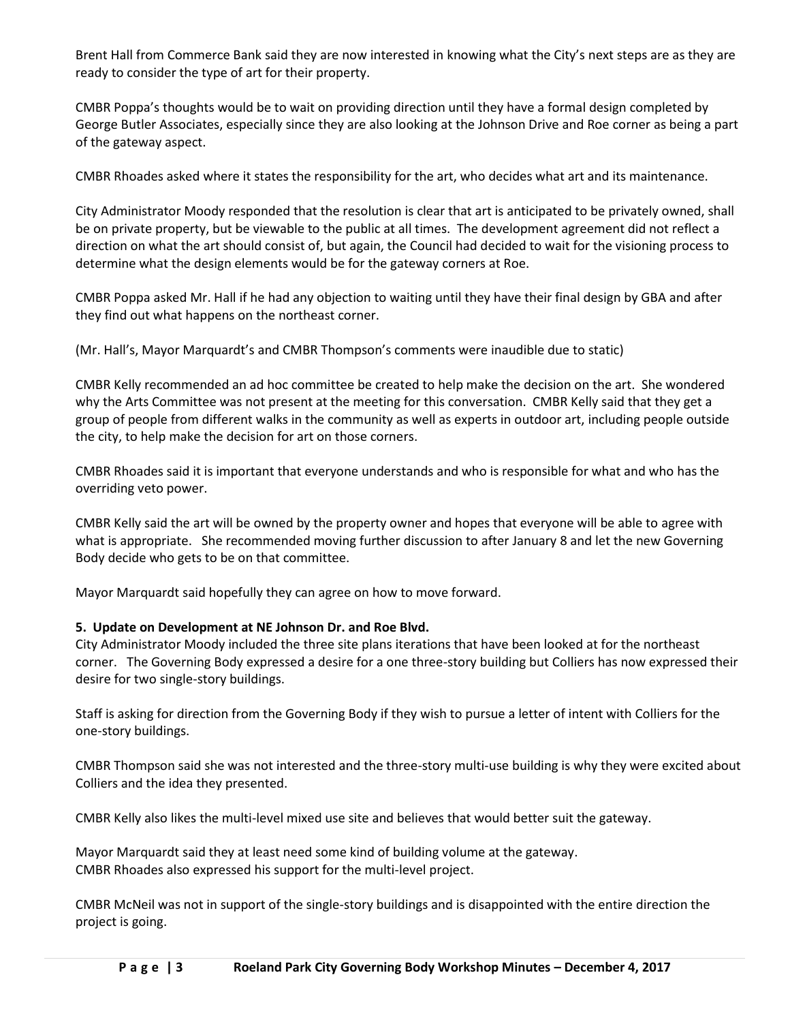Brent Hall from Commerce Bank said they are now interested in knowing what the City's next steps are as they are ready to consider the type of art for their property.

CMBR Poppa's thoughts would be to wait on providing direction until they have a formal design completed by George Butler Associates, especially since they are also looking at the Johnson Drive and Roe corner as being a part of the gateway aspect.

CMBR Rhoades asked where it states the responsibility for the art, who decides what art and its maintenance.

City Administrator Moody responded that the resolution is clear that art is anticipated to be privately owned, shall be on private property, but be viewable to the public at all times. The development agreement did not reflect a direction on what the art should consist of, but again, the Council had decided to wait for the visioning process to determine what the design elements would be for the gateway corners at Roe.

CMBR Poppa asked Mr. Hall if he had any objection to waiting until they have their final design by GBA and after they find out what happens on the northeast corner.

(Mr. Hall's, Mayor Marquardt's and CMBR Thompson's comments were inaudible due to static)

CMBR Kelly recommended an ad hoc committee be created to help make the decision on the art. She wondered why the Arts Committee was not present at the meeting for this conversation. CMBR Kelly said that they get a group of people from different walks in the community as well as experts in outdoor art, including people outside the city, to help make the decision for art on those corners.

CMBR Rhoades said it is important that everyone understands and who is responsible for what and who has the overriding veto power.

CMBR Kelly said the art will be owned by the property owner and hopes that everyone will be able to agree with what is appropriate. She recommended moving further discussion to after January 8 and let the new Governing Body decide who gets to be on that committee.

Mayor Marquardt said hopefully they can agree on how to move forward.

#### **5. Update on Development at NE Johnson Dr. and Roe Blvd.**

City Administrator Moody included the three site plans iterations that have been looked at for the northeast corner. The Governing Body expressed a desire for a one three-story building but Colliers has now expressed their desire for two single-story buildings.

Staff is asking for direction from the Governing Body if they wish to pursue a letter of intent with Colliers for the one-story buildings.

CMBR Thompson said she was not interested and the three-story multi-use building is why they were excited about Colliers and the idea they presented.

CMBR Kelly also likes the multi-level mixed use site and believes that would better suit the gateway.

Mayor Marquardt said they at least need some kind of building volume at the gateway. CMBR Rhoades also expressed his support for the multi-level project.

CMBR McNeil was not in support of the single-story buildings and is disappointed with the entire direction the project is going.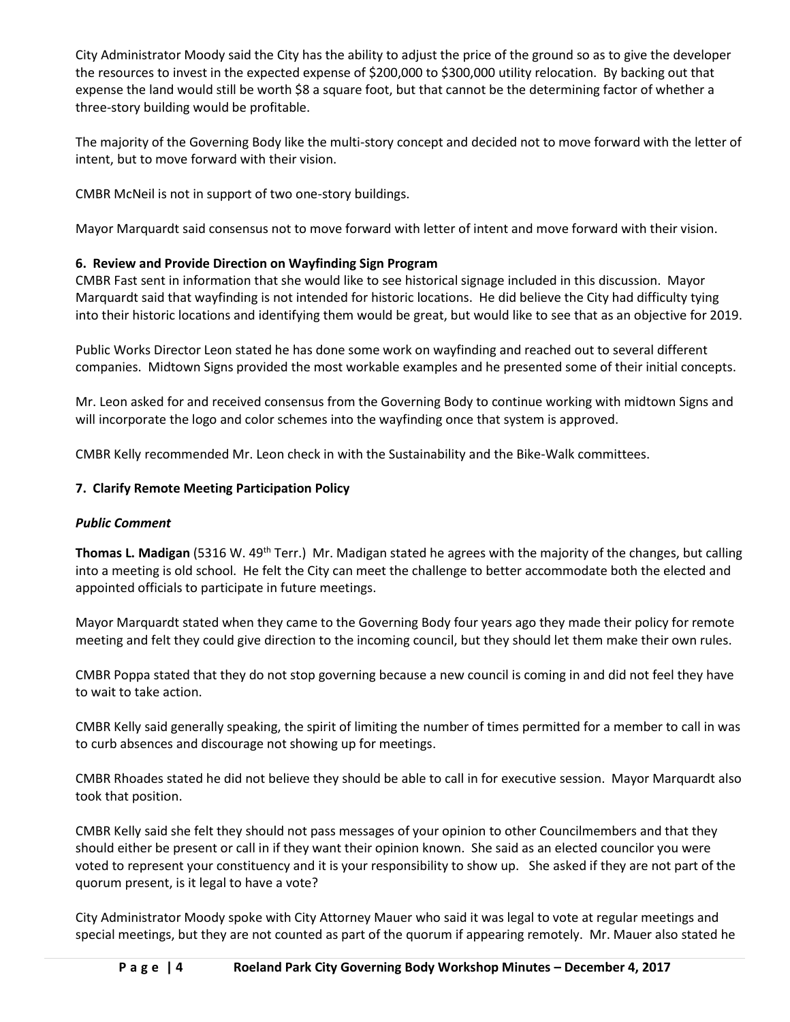City Administrator Moody said the City has the ability to adjust the price of the ground so as to give the developer the resources to invest in the expected expense of \$200,000 to \$300,000 utility relocation. By backing out that expense the land would still be worth \$8 a square foot, but that cannot be the determining factor of whether a three-story building would be profitable.

The majority of the Governing Body like the multi-story concept and decided not to move forward with the letter of intent, but to move forward with their vision.

CMBR McNeil is not in support of two one-story buildings.

Mayor Marquardt said consensus not to move forward with letter of intent and move forward with their vision.

# **6. Review and Provide Direction on Wayfinding Sign Program**

CMBR Fast sent in information that she would like to see historical signage included in this discussion. Mayor Marquardt said that wayfinding is not intended for historic locations. He did believe the City had difficulty tying into their historic locations and identifying them would be great, but would like to see that as an objective for 2019.

Public Works Director Leon stated he has done some work on wayfinding and reached out to several different companies. Midtown Signs provided the most workable examples and he presented some of their initial concepts.

Mr. Leon asked for and received consensus from the Governing Body to continue working with midtown Signs and will incorporate the logo and color schemes into the wayfinding once that system is approved.

CMBR Kelly recommended Mr. Leon check in with the Sustainability and the Bike-Walk committees.

## **7. Clarify Remote Meeting Participation Policy**

## *Public Comment*

Thomas L. Madigan (5316 W. 49<sup>th</sup> Terr.) Mr. Madigan stated he agrees with the majority of the changes, but calling into a meeting is old school. He felt the City can meet the challenge to better accommodate both the elected and appointed officials to participate in future meetings.

Mayor Marquardt stated when they came to the Governing Body four years ago they made their policy for remote meeting and felt they could give direction to the incoming council, but they should let them make their own rules.

CMBR Poppa stated that they do not stop governing because a new council is coming in and did not feel they have to wait to take action.

CMBR Kelly said generally speaking, the spirit of limiting the number of times permitted for a member to call in was to curb absences and discourage not showing up for meetings.

CMBR Rhoades stated he did not believe they should be able to call in for executive session. Mayor Marquardt also took that position.

CMBR Kelly said she felt they should not pass messages of your opinion to other Councilmembers and that they should either be present or call in if they want their opinion known. She said as an elected councilor you were voted to represent your constituency and it is your responsibility to show up. She asked if they are not part of the quorum present, is it legal to have a vote?

City Administrator Moody spoke with City Attorney Mauer who said it was legal to vote at regular meetings and special meetings, but they are not counted as part of the quorum if appearing remotely. Mr. Mauer also stated he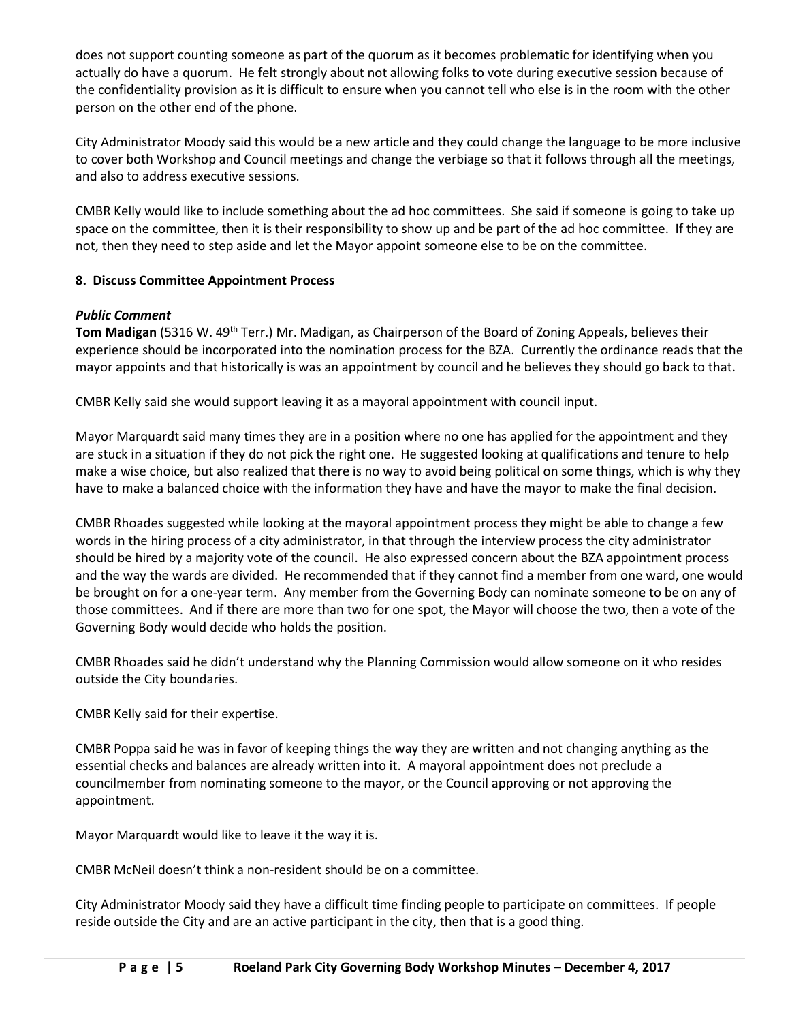does not support counting someone as part of the quorum as it becomes problematic for identifying when you actually do have a quorum. He felt strongly about not allowing folks to vote during executive session because of the confidentiality provision as it is difficult to ensure when you cannot tell who else is in the room with the other person on the other end of the phone.

City Administrator Moody said this would be a new article and they could change the language to be more inclusive to cover both Workshop and Council meetings and change the verbiage so that it follows through all the meetings, and also to address executive sessions.

CMBR Kelly would like to include something about the ad hoc committees. She said if someone is going to take up space on the committee, then it is their responsibility to show up and be part of the ad hoc committee. If they are not, then they need to step aside and let the Mayor appoint someone else to be on the committee.

## **8. Discuss Committee Appointment Process**

## *Public Comment*

**Tom Madigan** (5316 W. 49<sup>th</sup> Terr.) Mr. Madigan, as Chairperson of the Board of Zoning Appeals, believes their experience should be incorporated into the nomination process for the BZA. Currently the ordinance reads that the mayor appoints and that historically is was an appointment by council and he believes they should go back to that.

CMBR Kelly said she would support leaving it as a mayoral appointment with council input.

Mayor Marquardt said many times they are in a position where no one has applied for the appointment and they are stuck in a situation if they do not pick the right one. He suggested looking at qualifications and tenure to help make a wise choice, but also realized that there is no way to avoid being political on some things, which is why they have to make a balanced choice with the information they have and have the mayor to make the final decision.

CMBR Rhoades suggested while looking at the mayoral appointment process they might be able to change a few words in the hiring process of a city administrator, in that through the interview process the city administrator should be hired by a majority vote of the council. He also expressed concern about the BZA appointment process and the way the wards are divided. He recommended that if they cannot find a member from one ward, one would be brought on for a one-year term. Any member from the Governing Body can nominate someone to be on any of those committees. And if there are more than two for one spot, the Mayor will choose the two, then a vote of the Governing Body would decide who holds the position.

CMBR Rhoades said he didn't understand why the Planning Commission would allow someone on it who resides outside the City boundaries.

CMBR Kelly said for their expertise.

CMBR Poppa said he was in favor of keeping things the way they are written and not changing anything as the essential checks and balances are already written into it. A mayoral appointment does not preclude a councilmember from nominating someone to the mayor, or the Council approving or not approving the appointment.

Mayor Marquardt would like to leave it the way it is.

CMBR McNeil doesn't think a non-resident should be on a committee.

City Administrator Moody said they have a difficult time finding people to participate on committees. If people reside outside the City and are an active participant in the city, then that is a good thing.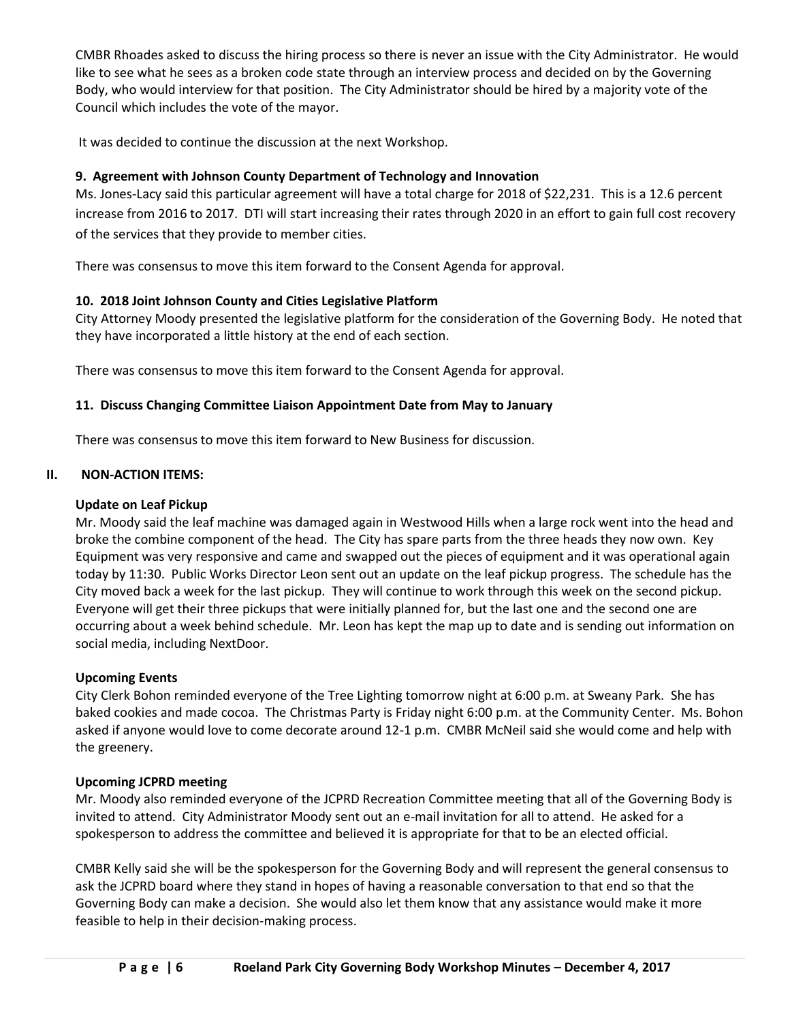CMBR Rhoades asked to discuss the hiring process so there is never an issue with the City Administrator. He would like to see what he sees as a broken code state through an interview process and decided on by the Governing Body, who would interview for that position. The City Administrator should be hired by a majority vote of the Council which includes the vote of the mayor.

It was decided to continue the discussion at the next Workshop.

# **9. Agreement with Johnson County Department of Technology and Innovation**

Ms. Jones-Lacy said this particular agreement will have a total charge for 2018 of \$22,231. This is a 12.6 percent increase from 2016 to 2017. DTI will start increasing their rates through 2020 in an effort to gain full cost recovery of the services that they provide to member cities.

There was consensus to move this item forward to the Consent Agenda for approval.

# **10. 2018 Joint Johnson County and Cities Legislative Platform**

City Attorney Moody presented the legislative platform for the consideration of the Governing Body. He noted that they have incorporated a little history at the end of each section.

There was consensus to move this item forward to the Consent Agenda for approval.

## **11. Discuss Changing Committee Liaison Appointment Date from May to January**

There was consensus to move this item forward to New Business for discussion.

# **II. NON-ACTION ITEMS:**

#### **Update on Leaf Pickup**

Mr. Moody said the leaf machine was damaged again in Westwood Hills when a large rock went into the head and broke the combine component of the head. The City has spare parts from the three heads they now own. Key Equipment was very responsive and came and swapped out the pieces of equipment and it was operational again today by 11:30. Public Works Director Leon sent out an update on the leaf pickup progress. The schedule has the City moved back a week for the last pickup. They will continue to work through this week on the second pickup. Everyone will get their three pickups that were initially planned for, but the last one and the second one are occurring about a week behind schedule. Mr. Leon has kept the map up to date and is sending out information on social media, including NextDoor.

## **Upcoming Events**

City Clerk Bohon reminded everyone of the Tree Lighting tomorrow night at 6:00 p.m. at Sweany Park. She has baked cookies and made cocoa. The Christmas Party is Friday night 6:00 p.m. at the Community Center. Ms. Bohon asked if anyone would love to come decorate around 12-1 p.m. CMBR McNeil said she would come and help with the greenery.

## **Upcoming JCPRD meeting**

Mr. Moody also reminded everyone of the JCPRD Recreation Committee meeting that all of the Governing Body is invited to attend. City Administrator Moody sent out an e-mail invitation for all to attend. He asked for a spokesperson to address the committee and believed it is appropriate for that to be an elected official.

CMBR Kelly said she will be the spokesperson for the Governing Body and will represent the general consensus to ask the JCPRD board where they stand in hopes of having a reasonable conversation to that end so that the Governing Body can make a decision. She would also let them know that any assistance would make it more feasible to help in their decision-making process.